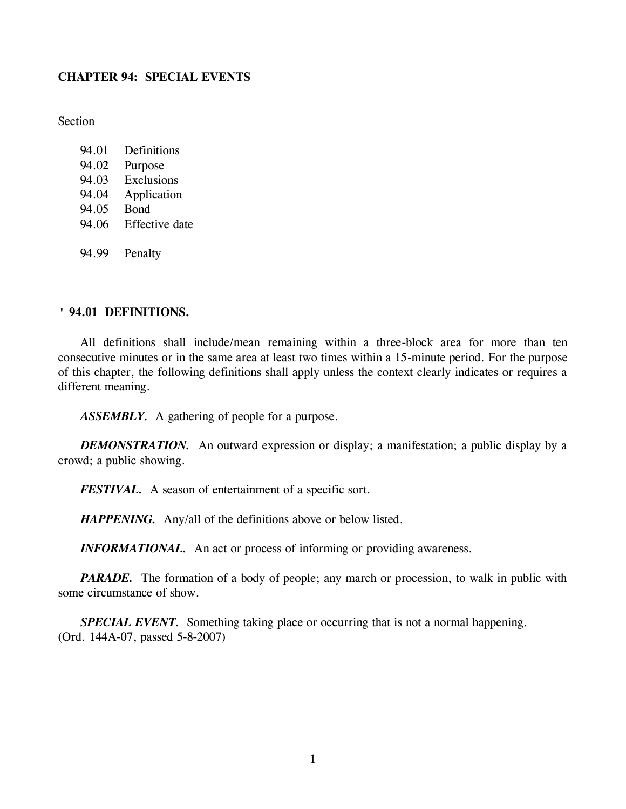## **CHAPTER 94: SPECIAL EVENTS**

**Section** 

- 94.01 Definitions 94.02 Purpose
- 94.03 Exclusions
- 94.04 Application
- 94.05 Bond
- 94.06 Effective date
- 94.99 Penalty

# **' 94.01 DEFINITIONS.**

All definitions shall include/mean remaining within a three-block area for more than ten consecutive minutes or in the same area at least two times within a 15-minute period. For the purpose of this chapter, the following definitions shall apply unless the context clearly indicates or requires a different meaning.

*ASSEMBLY.* A gathering of people for a purpose.

*DEMONSTRATION.* An outward expression or display; a manifestation; a public display by a crowd; a public showing.

*FESTIVAL.* A season of entertainment of a specific sort.

*HAPPENING.* Any/all of the definitions above or below listed.

*INFORMATIONAL*. An act or process of informing or providing awareness.

*PARADE.* The formation of a body of people; any march or procession, to walk in public with some circumstance of show.

*SPECIAL EVENT.* Something taking place or occurring that is not a normal happening. (Ord. 144A-07, passed 5-8-2007)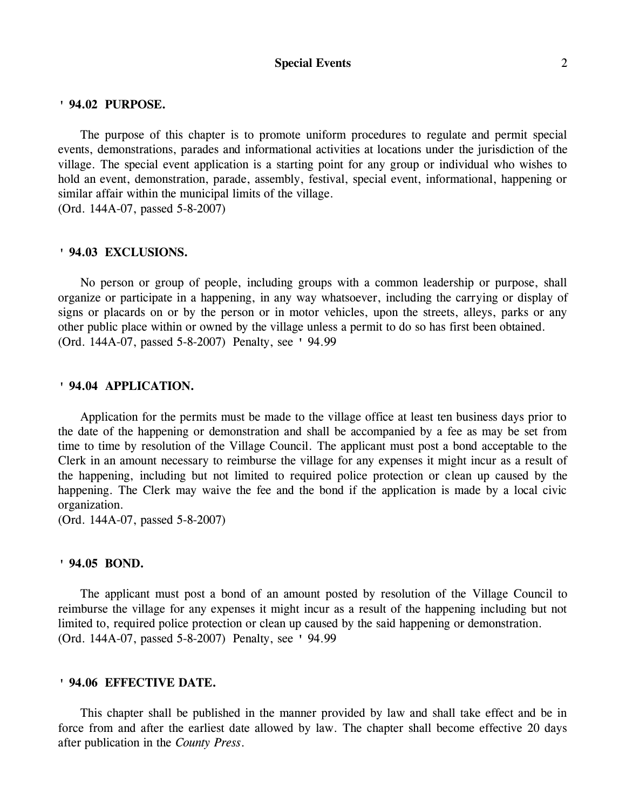#### **Special Events** 2

### **' 94.02 PURPOSE.**

The purpose of this chapter is to promote uniform procedures to regulate and permit special events, demonstrations, parades and informational activities at locations under the jurisdiction of the village. The special event application is a starting point for any group or individual who wishes to hold an event, demonstration, parade, assembly, festival, special event, informational, happening or similar affair within the municipal limits of the village. (Ord. 144A-07, passed 5-8-2007)

### **' 94.03 EXCLUSIONS.**

No person or group of people, including groups with a common leadership or purpose, shall organize or participate in a happening, in any way whatsoever, including the carrying or display of signs or placards on or by the person or in motor vehicles, upon the streets, alleys, parks or any other public place within or owned by the village unless a permit to do so has first been obtained. (Ord. 144A-07, passed 5-8-2007) Penalty, see ' 94.99

### **' 94.04 APPLICATION.**

Application for the permits must be made to the village office at least ten business days prior to the date of the happening or demonstration and shall be accompanied by a fee as may be set from time to time by resolution of the Village Council. The applicant must post a bond acceptable to the Clerk in an amount necessary to reimburse the village for any expenses it might incur as a result of the happening, including but not limited to required police protection or clean up caused by the happening. The Clerk may waive the fee and the bond if the application is made by a local civic organization.

(Ord. 144A-07, passed 5-8-2007)

### **' 94.05 BOND.**

The applicant must post a bond of an amount posted by resolution of the Village Council to reimburse the village for any expenses it might incur as a result of the happening including but not limited to, required police protection or clean up caused by the said happening or demonstration. (Ord. 144A-07, passed 5-8-2007) Penalty, see ' 94.99

### **' 94.06 EFFECTIVE DATE.**

This chapter shall be published in the manner provided by law and shall take effect and be in force from and after the earliest date allowed by law. The chapter shall become effective 20 days after publication in the *County Press*.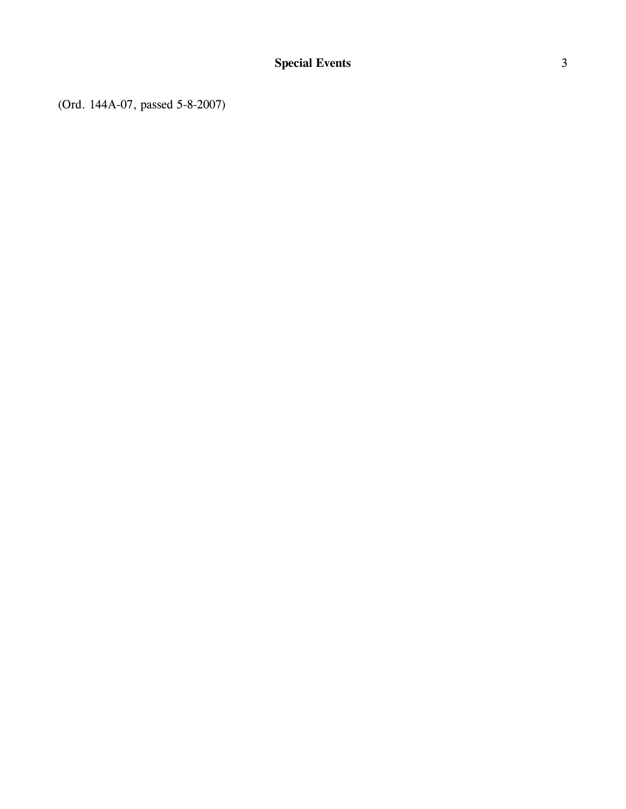(Ord. 144A-07, passed 5-8-2007)